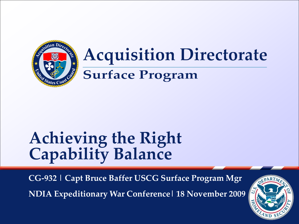

# **Acquisition Directorate**

### **Surface Program**

# **Achieving the Right Capability Balance**

**CG-932 | Capt Bruce Baffer USCG Surface Program Mgr**

**NDIA Expeditionary War Conference| 18 November 2009**

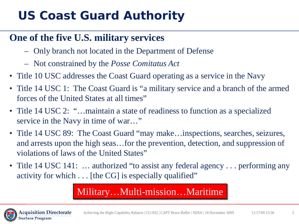### **US Coast Guard Authority**

### **One of the five U.S. military services**

- Only branch not located in the Department of Defense
- Not constrained by the *Posse Comitatus Act*
- Title 10 USC addresses the Coast Guard operating as a service in the Navy
- Title 14 USC 1: The Coast Guard is "a military service and a branch of the armed forces of the United States at all times"
- Title 14 USC 2: "…maintain a state of readiness to function as a specialized service in the Navy in time of war..."
- Title 14 USC 89: The Coast Guard "may make... inspections, searches, seizures, and arrests upon the high seas…for the prevention, detection, and suppression of violations of laws of the United States"
- Title 14 USC 141: ... authorized "to assist any federal agency ... performing any activity for which . . . [the CG] is especially qualified"

### Military…Multi-mission…Maritime

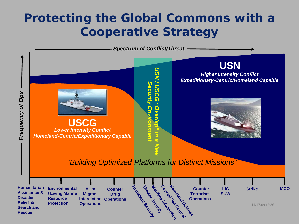### **Protecting the Global Commons with a Cooperative Strategy**

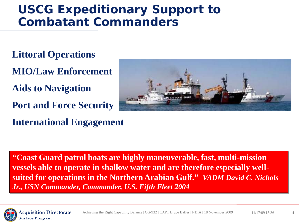### **USCG Expeditionary Support to Combatant Commanders**

- **Littoral Operations**
- **MIO/Law Enforcement**
- **Aids to Navigation**
- **Port and Force Security**
- **International Engagement**



**"Coast Guard patrol boats are highly maneuverable, fast, multi-mission vessels able to operate in shallow water and are therefore especially wellsuited for operations in the Northern Arabian Gulf."** *VADM David C. Nichols Jr., USN Commander, Commander, U.S. Fifth Fleet 2004* 

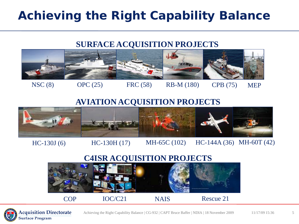## **Achieving the Right Capability Balance**

#### **SURFACE ACQUISITION PROJECTS**



NSC (8) OPC (25) FRC (58) RB-M (180) CPB (75) MEP

#### **AVIATION ACQUISITION PROJECTS**



HC-130J (6) HC-130H (17) MH-65C (102) HC-144A (36) MH-60T (42)

#### **C4ISR ACQUISITION PROJECTS**



COP IOC/C21 NAIS Rescue 21

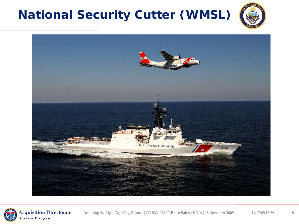# **National Security Cutter (WMSL)**





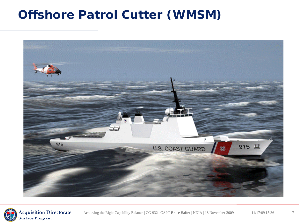### **Offshore Patrol Cutter (WMSM)**



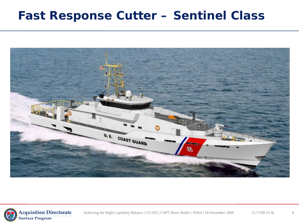### **Fast Response Cutter – Sentinel Class**